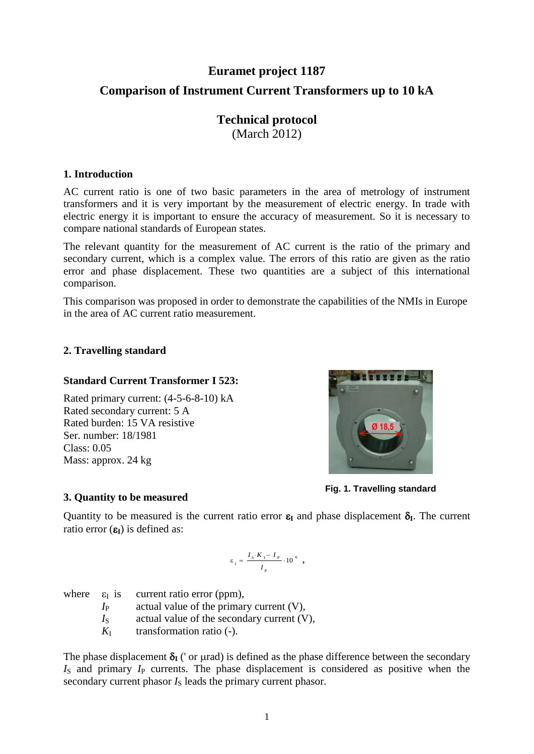# **Euramet project 1187 Comparison of Instrument Current Transformers up to 10 kA**

#### **Technical protocol** (March 2012)

#### **1. Introduction**

AC current ratio is one of two basic parameters in the area of metrology of instrument transformers and it is very important by the measurement of electric energy. In trade with electric energy it is important to ensure the accuracy of measurement. So it is necessary to compare national standards of European states.

The relevant quantity for the measurement of AC current is the ratio of the primary and secondary current, which is a complex value. The errors of this ratio are given as the ratio error and phase displacement. These two quantities are a subject of this international comparison.

This comparison was proposed in order to demonstrate the capabilities of the NMIs in Europe in the area of AC current ratio measurement.

#### **2. Travelling standard**

#### **Standard Current Transformer I 523:**

Rated primary current: (4-5-6-8-10) kA Rated secondary current: 5 A Rated burden: 15 VA resistive Ser. number: 18/1981  $Class: 0.05$ Mass: approx. 24 kg



**Fig. 1. Travelling standard**

#### **3. Quantity to be measured**

Quantity to be measured is the current ratio error  $\varepsilon_I$  and phase displacement  $\delta_I$ . The current ratio error  $(\epsilon_{\mathbf{I}})$  is defined as:

$$
\varepsilon_{I} = \frac{I_{s} \cdot K_{I} - I_{P}}{I_{P}} \cdot 10^{6} ,
$$

|             | where $\varepsilon_{I}$ is current ratio error (ppm), |
|-------------|-------------------------------------------------------|
| $I_{\rm P}$ | actual value of the primary current $(V)$ ,           |
| $I_{\rm S}$ | actual value of the secondary current $(V)$ ,         |
| $K_{\rm I}$ | transformation ratio (-).                             |

The phase displacement  $\delta_I$  (' or urad) is defined as the phase difference between the secondary  $I<sub>S</sub>$  and primary  $I<sub>P</sub>$  currents. The phase displacement is considered as positive when the secondary current phasor  $I<sub>S</sub>$  leads the primary current phasor.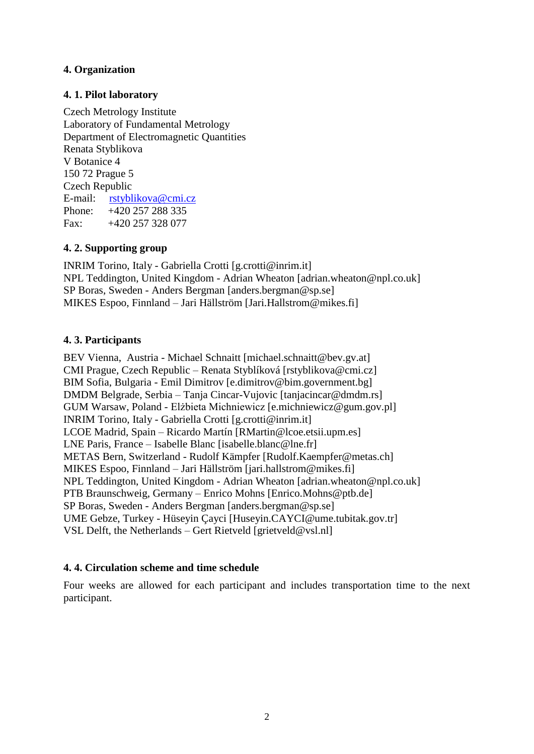#### **4. Organization**

#### **4. 1. Pilot laboratory**

Czech Metrology Institute Laboratory of Fundamental Metrology Department of Electromagnetic Quantities Renata Styblikova V Botanice 4 150 72 Prague 5 Czech Republic E-mail: [rstyblikova@cmi.cz](mailto:jkupec@cmi.cz) Phone: +420 257 288 335 Fax:  $+420\,257\,328\,077$ 

#### **4. 2. Supporting group**

INRIM Torino, Italy - Gabriella Crotti [g.crotti@inrim.it] NPL Teddington, United Kingdom - Adrian Wheaton [adrian.wheaton@npl.co.uk] SP Boras, Sweden - Anders Bergman [anders.bergman@sp.se] MIKES Espoo, Finnland – Jari Hällström [Jari.Hallstrom@mikes.fi]

#### **4. 3. Participants**

BEV Vienna, Austria - Michael Schnaitt [michael.schnaitt@bev.gv.at] CMI Prague, Czech Republic – Renata Styblíková [rstyblikova@cmi.cz] BIM Sofia, Bulgaria - Emil Dimitrov [e.dimitrov@bim.government.bg] DMDM Belgrade, Serbia – Tanja Cincar-Vujovic [tanjacincar@dmdm.rs] GUM Warsaw, Poland - Elżbieta Michniewicz [e.michniewicz@gum.gov.pl] INRIM Torino, Italy - Gabriella Crotti [g.crotti@inrim.it] LCOE Madrid, Spain – Ricardo Martín [RMartin@lcoe.etsii.upm.es] LNE Paris, France – Isabelle Blanc [isabelle.blanc@lne.fr] METAS Bern, Switzerland - Rudolf Kämpfer [Rudolf.Kaempfer@metas.ch] MIKES Espoo, Finnland – Jari Hällström [jari.hallstrom@mikes.fi] NPL Teddington, United Kingdom - Adrian Wheaton [adrian.wheaton@npl.co.uk] PTB Braunschweig, Germany – Enrico Mohns [Enrico.Mohns@ptb.de] SP Boras, Sweden - Anders Bergman [anders.bergman@sp.se] UME Gebze, Turkey - Hüseyin Çayci [Huseyin.CAYCI@ume.tubitak.gov.tr] VSL Delft, the Netherlands – Gert Rietveld [grietveld@vsl.nl]

#### **4. 4. Circulation scheme and time schedule**

Four weeks are allowed for each participant and includes transportation time to the next participant.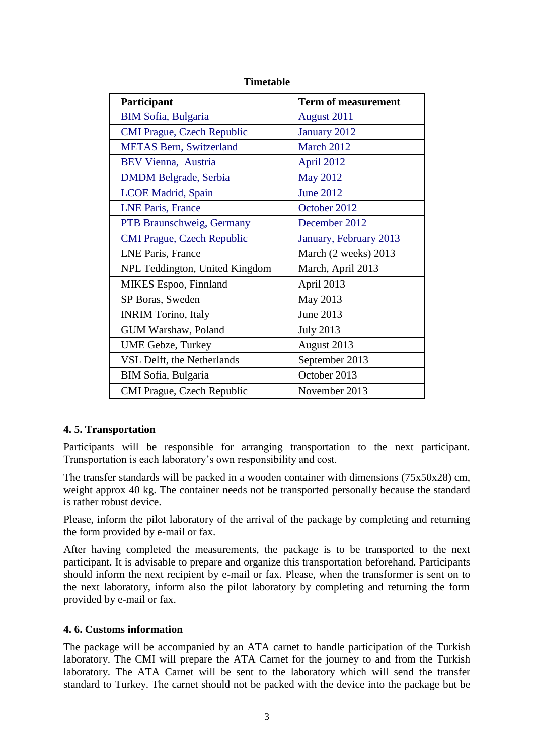| Participant                       | <b>Term of measurement</b> |
|-----------------------------------|----------------------------|
| <b>BIM Sofia, Bulgaria</b>        | August 2011                |
| <b>CMI Prague, Czech Republic</b> | January 2012               |
| <b>METAS Bern, Switzerland</b>    | March 2012                 |
| <b>BEV Vienna, Austria</b>        | April 2012                 |
| <b>DMDM</b> Belgrade, Serbia      | <b>May 2012</b>            |
| <b>LCOE</b> Madrid, Spain         | <b>June 2012</b>           |
| <b>LNE Paris, France</b>          | October 2012               |
| PTB Braunschweig, Germany         | December 2012              |
| <b>CMI Prague, Czech Republic</b> | January, February 2013     |
| <b>LNE Paris, France</b>          | March (2 weeks) 2013       |
| NPL Teddington, United Kingdom    | March, April 2013          |
| MIKES Espoo, Finnland             | April 2013                 |
| SP Boras, Sweden                  | May 2013                   |
| <b>INRIM Torino, Italy</b>        | June 2013                  |
| GUM Warshaw, Poland               | <b>July 2013</b>           |
| <b>UME Gebze, Turkey</b>          | August 2013                |
| VSL Delft, the Netherlands        | September 2013             |
| BIM Sofia, Bulgaria               | October 2013               |
| <b>CMI Prague, Czech Republic</b> | November 2013              |

#### **Timetable**

#### **4. 5. Transportation**

Participants will be responsible for arranging transportation to the next participant. Transportation is each laboratory's own responsibility and cost.

The transfer standards will be packed in a wooden container with dimensions (75x50x28) cm, weight approx 40 kg. The container needs not be transported personally because the standard is rather robust device.

Please, inform the pilot laboratory of the arrival of the package by completing and returning the form provided by e-mail or fax.

After having completed the measurements, the package is to be transported to the next participant. It is advisable to prepare and organize this transportation beforehand. Participants should inform the next recipient by e-mail or fax. Please, when the transformer is sent on to the next laboratory, inform also the pilot laboratory by completing and returning the form provided by e-mail or fax.

#### **4. 6. Customs information**

The package will be accompanied by an ATA carnet to handle participation of the Turkish laboratory. The CMI will prepare the ATA Carnet for the journey to and from the Turkish laboratory. The ATA Carnet will be sent to the laboratory which will send the transfer standard to Turkey. The carnet should not be packed with the device into the package but be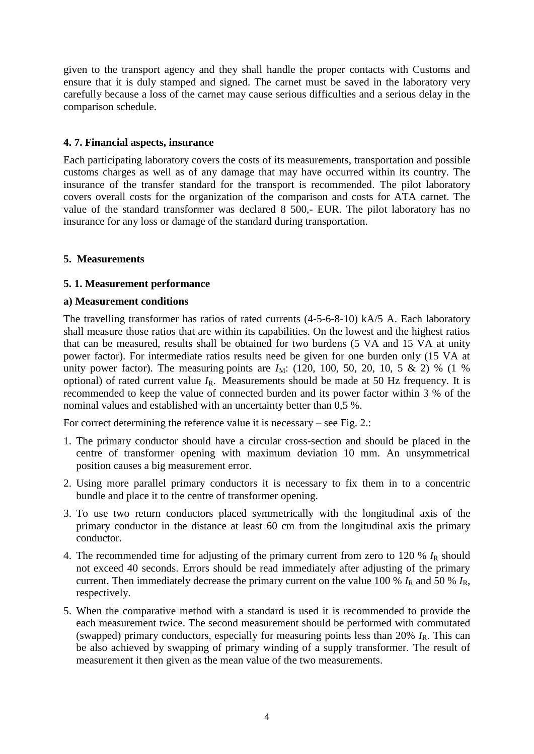given to the transport agency and they shall handle the proper contacts with Customs and ensure that it is duly stamped and signed. The carnet must be saved in the laboratory very carefully because a loss of the carnet may cause serious difficulties and a serious delay in the comparison schedule.

#### **4. 7. Financial aspects, insurance**

Each participating laboratory covers the costs of its measurements, transportation and possible customs charges as well as of any damage that may have occurred within its country. The insurance of the transfer standard for the transport is recommended. The pilot laboratory covers overall costs for the organization of the comparison and costs for ATA carnet. The value of the standard transformer was declared 8 500,- EUR. The pilot laboratory has no insurance for any loss or damage of the standard during transportation.

#### **5. Measurements**

#### **5. 1. Measurement performance**

#### **a) Measurement conditions**

The travelling transformer has ratios of rated currents (4-5-6-8-10) kA/5 A. Each laboratory shall measure those ratios that are within its capabilities. On the lowest and the highest ratios that can be measured, results shall be obtained for two burdens (5 VA and 15 VA at unity power factor). For intermediate ratios results need be given for one burden only (15 VA at unity power factor). The measuring points are  $I_M$ : (120, 100, 50, 20, 10, 5 & 2) % (1 %) optional) of rated current value  $I_R$ . Measurements should be made at 50 Hz frequency. It is recommended to keep the value of connected burden and its power factor within 3 % of the nominal values and established with an uncertainty better than 0,5 %.

For correct determining the reference value it is necessary – see Fig. 2.:

- 1. The primary conductor should have a circular cross-section and should be placed in the centre of transformer opening with maximum deviation 10 mm. An unsymmetrical position causes a big measurement error.
- 2. Using more parallel primary conductors it is necessary to fix them in to a concentric bundle and place it to the centre of transformer opening.
- 3. To use two return conductors placed symmetrically with the longitudinal axis of the primary conductor in the distance at least 60 cm from the longitudinal axis the primary conductor.
- 4. The recommended time for adjusting of the primary current from zero to 120 %  $I_R$  should not exceed 40 seconds. Errors should be read immediately after adjusting of the primary current. Then immediately decrease the primary current on the value 100 %  $I_R$  and 50 %  $I_R$ , respectively.
- 5. When the comparative method with a standard is used it is recommended to provide the each measurement twice. The second measurement should be performed with commutated (swapped) primary conductors, especially for measuring points less than  $20\% I_R$ . This can be also achieved by swapping of primary winding of a supply transformer. The result of measurement it then given as the mean value of the two measurements.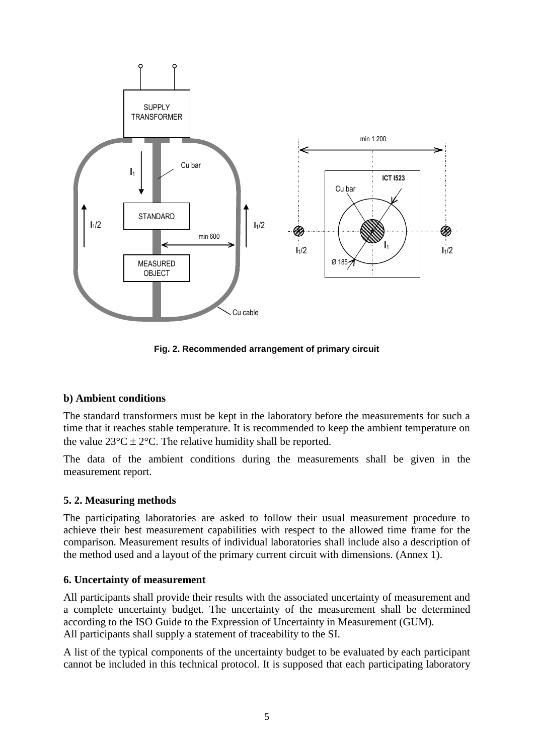

**Fig. 2. Recommended arrangement of primary circuit**

#### **b) Ambient conditions**

The standard transformers must be kept in the laboratory before the measurements for such a time that it reaches stable temperature. It is recommended to keep the ambient temperature on the value  $23^{\circ}C \pm 2^{\circ}C$ . The relative humidity shall be reported.

The data of the ambient conditions during the measurements shall be given in the measurement report.

#### **5. 2. Measuring methods**

The participating laboratories are asked to follow their usual measurement procedure to achieve their best measurement capabilities with respect to the allowed time frame for the comparison. Measurement results of individual laboratories shall include also a description of the method used and a layout of the primary current circuit with dimensions. (Annex 1).

#### **6. Uncertainty of measurement**

All participants shall provide their results with the associated uncertainty of measurement and a complete uncertainty budget. The uncertainty of the measurement shall be determined according to the ISO Guide to the Expression of Uncertainty in Measurement (GUM). All participants shall supply a statement of traceability to the SI.

A list of the typical components of the uncertainty budget to be evaluated by each participant cannot be included in this technical protocol. It is supposed that each participating laboratory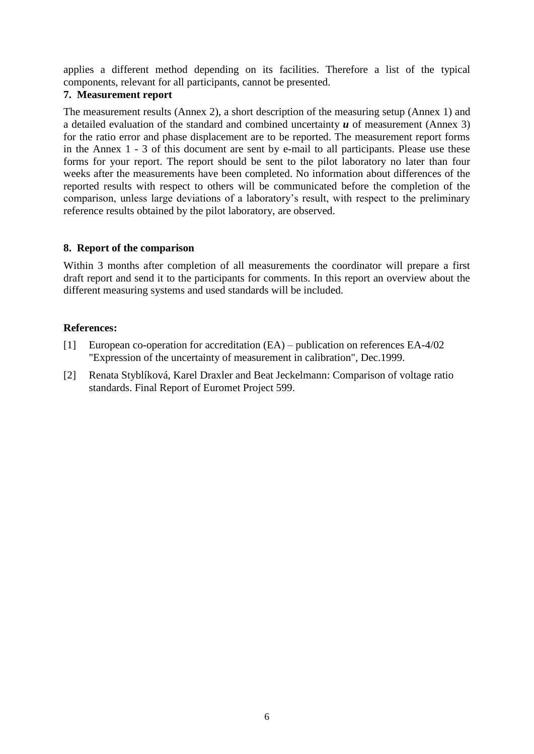applies a different method depending on its facilities. Therefore a list of the typical components, relevant for all participants, cannot be presented.

#### **7. Measurement report**

The measurement results (Annex 2), a short description of the measuring setup (Annex 1) and a detailed evaluation of the standard and combined uncertainty *u* of measurement (Annex 3) for the ratio error and phase displacement are to be reported. The measurement report forms in the Annex 1 - 3 of this document are sent by e-mail to all participants. Please use these forms for your report. The report should be sent to the pilot laboratory no later than four weeks after the measurements have been completed. No information about differences of the reported results with respect to others will be communicated before the completion of the comparison, unless large deviations of a laboratory's result, with respect to the preliminary reference results obtained by the pilot laboratory, are observed.

#### **8. Report of the comparison**

Within 3 months after completion of all measurements the coordinator will prepare a first draft report and send it to the participants for comments. In this report an overview about the different measuring systems and used standards will be included.

#### **References:**

- [1] European co-operation for accreditation (EA) publication on references EA-4/02 "Expression of the uncertainty of measurement in calibration", Dec.1999.
- [2] Renata Styblíková, Karel Draxler and Beat Jeckelmann: Comparison of voltage ratio standards. Final Report of Euromet Project 599.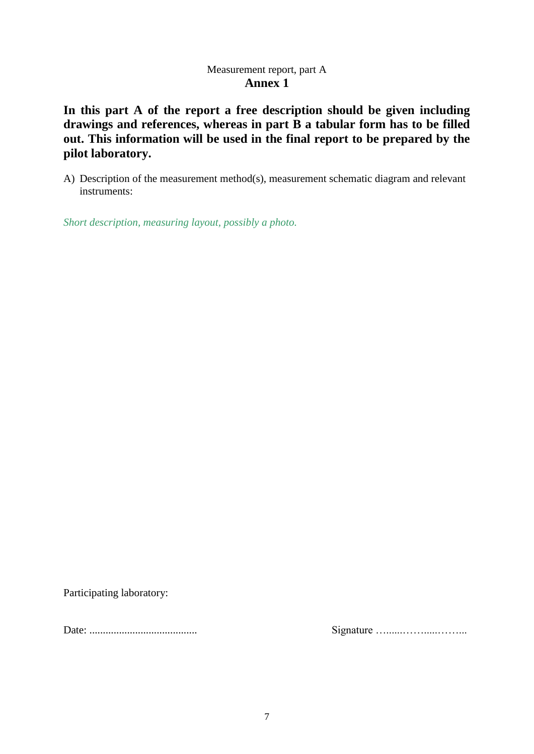#### Measurement report, part A **Annex 1**

**In this part A of the report a free description should be given including drawings and references, whereas in part B a tabular form has to be filled out. This information will be used in the final report to be prepared by the pilot laboratory.** 

A) Description of the measurement method(s), measurement schematic diagram and relevant instruments:

*Short description, measuring layout, possibly a photo.*

Participating laboratory:

Date: ........................................ Signature …......…….....……...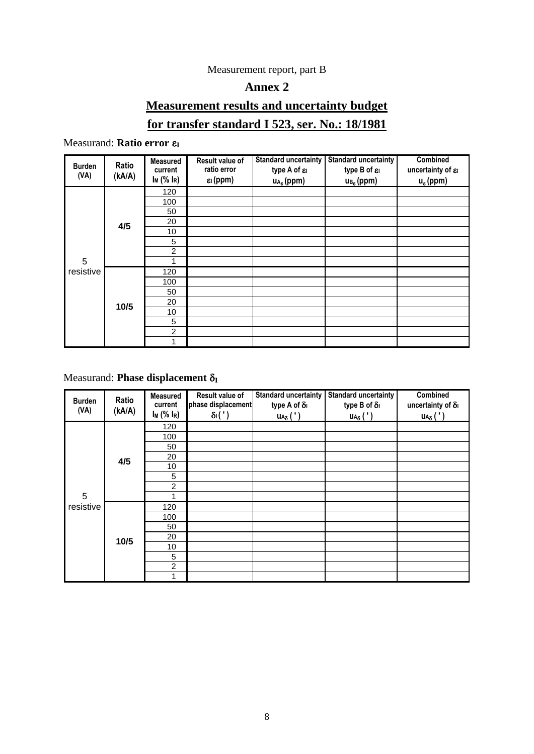#### Measurement report, part B

## **Annex 2**

## **Measurement results and uncertainty budget**

### **for transfer standard I 523, ser. No.: 18/1981**

### Measurand: **Ratio error ε**<sub>I</sub>

| <b>Burden</b><br>(VA) | Ratio<br>(kA/A) | <b>Measured</b><br>current<br>Im(% ln) | Result value of<br>ratio error<br>$\varepsilon$ <sub>l</sub> (ppm) | <b>Standard uncertainty</b><br>type A of $\varepsilon_1$<br>$u_{A_{\epsilon}}$ (ppm) | <b>Standard uncertainty</b><br>type B of $\varepsilon_1$<br>$u_{B_{\epsilon}}(ppm)$ | <b>Combined</b><br>uncertainty of $\varepsilon_1$<br>$u_{\epsilon}$ (ppm) |
|-----------------------|-----------------|----------------------------------------|--------------------------------------------------------------------|--------------------------------------------------------------------------------------|-------------------------------------------------------------------------------------|---------------------------------------------------------------------------|
|                       | 4/5             | 120                                    |                                                                    |                                                                                      |                                                                                     |                                                                           |
|                       |                 | 100                                    |                                                                    |                                                                                      |                                                                                     |                                                                           |
|                       |                 | 50                                     |                                                                    |                                                                                      |                                                                                     |                                                                           |
|                       |                 | 20                                     |                                                                    |                                                                                      |                                                                                     |                                                                           |
|                       |                 | 10                                     |                                                                    |                                                                                      |                                                                                     |                                                                           |
|                       |                 | 5                                      |                                                                    |                                                                                      |                                                                                     |                                                                           |
|                       |                 | $\overline{c}$                         |                                                                    |                                                                                      |                                                                                     |                                                                           |
| 5                     |                 |                                        |                                                                    |                                                                                      |                                                                                     |                                                                           |
| resistive             | 10/5            | 120                                    |                                                                    |                                                                                      |                                                                                     |                                                                           |
|                       |                 | 100                                    |                                                                    |                                                                                      |                                                                                     |                                                                           |
|                       |                 | 50                                     |                                                                    |                                                                                      |                                                                                     |                                                                           |
|                       |                 | 20                                     |                                                                    |                                                                                      |                                                                                     |                                                                           |
|                       |                 | 10                                     |                                                                    |                                                                                      |                                                                                     |                                                                           |
|                       |                 | 5                                      |                                                                    |                                                                                      |                                                                                     |                                                                           |
|                       |                 | $\overline{c}$                         |                                                                    |                                                                                      |                                                                                     |                                                                           |
|                       |                 | 1                                      |                                                                    |                                                                                      |                                                                                     |                                                                           |

#### Measurand: **Phase displacement** δ<sub>I</sub>

| <b>Burden</b><br>(VA) | Ratio<br>(kA/A) | <b>Measured</b><br>current<br>Im(% In) | Result value of<br>phase displacement<br>$\delta$ <sub>1</sub> $(')$ | <b>Standard uncertainty</b><br>type A of δι<br>$u_{A\delta}$ ( ' ) | <b>Standard uncertainty</b><br>type B of δι<br>$u_{A\delta}$ (') | Combined<br>uncertainty of $\delta_1$<br>$u_{A\delta}$ (') |
|-----------------------|-----------------|----------------------------------------|----------------------------------------------------------------------|--------------------------------------------------------------------|------------------------------------------------------------------|------------------------------------------------------------|
|                       |                 | 120                                    |                                                                      |                                                                    |                                                                  |                                                            |
|                       |                 | 100                                    |                                                                      |                                                                    |                                                                  |                                                            |
|                       |                 | 50                                     |                                                                      |                                                                    |                                                                  |                                                            |
|                       | 4/5             | 20                                     |                                                                      |                                                                    |                                                                  |                                                            |
|                       |                 | 10                                     |                                                                      |                                                                    |                                                                  |                                                            |
|                       |                 | 5                                      |                                                                      |                                                                    |                                                                  |                                                            |
|                       |                 | $\overline{2}$                         |                                                                      |                                                                    |                                                                  |                                                            |
| 5                     |                 |                                        |                                                                      |                                                                    |                                                                  |                                                            |
| resistive             | 10/5            | 120                                    |                                                                      |                                                                    |                                                                  |                                                            |
|                       |                 | 100                                    |                                                                      |                                                                    |                                                                  |                                                            |
|                       |                 | 50                                     |                                                                      |                                                                    |                                                                  |                                                            |
|                       |                 | 20                                     |                                                                      |                                                                    |                                                                  |                                                            |
|                       |                 | 10                                     |                                                                      |                                                                    |                                                                  |                                                            |
|                       |                 | 5                                      |                                                                      |                                                                    |                                                                  |                                                            |
|                       |                 | $\overline{2}$                         |                                                                      |                                                                    |                                                                  |                                                            |
|                       |                 | 1                                      |                                                                      |                                                                    |                                                                  |                                                            |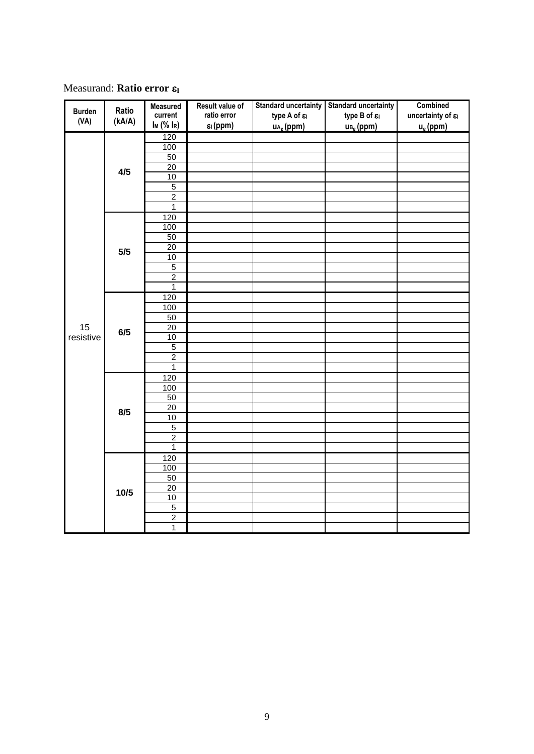**Measurand: Ratio error ε**<sub>I</sub>

|               |                 | <b>Measured</b>  | Result value of                  | <b>Standard uncertainty</b> | <b>Standard uncertainty</b> | <b>Combined</b>                |
|---------------|-----------------|------------------|----------------------------------|-----------------------------|-----------------------------|--------------------------------|
| <b>Burden</b> | Ratio<br>(kA/A) | current          | ratio error                      | type A of $\varepsilon$     | type B of $\varepsilon$     | uncertainty of $\varepsilon_1$ |
| (VA)          |                 | $I_M$ (% $I_R$ ) | $\varepsilon$ <sub>l</sub> (ppm) | $u_{A_g}$ (ppm)             | $u_{B_{\mathcal{E}}}$ (ppm) | $u_{\epsilon}$ (ppm)           |
|               |                 | 120              |                                  |                             |                             |                                |
|               | 4/5             | 100              |                                  |                             |                             |                                |
|               |                 | 50               |                                  |                             |                             |                                |
|               |                 | 20               |                                  |                             |                             |                                |
|               |                 | $10$             |                                  |                             |                             |                                |
|               |                 | $\overline{5}$   |                                  |                             |                             |                                |
|               |                 | $\overline{2}$   |                                  |                             |                             |                                |
|               |                 | $\overline{1}$   |                                  |                             |                             |                                |
|               |                 | 120              |                                  |                             |                             |                                |
|               |                 | $\overline{100}$ |                                  |                             |                             |                                |
|               |                 | 50               |                                  |                             |                             |                                |
|               | 5/5             | $\overline{20}$  |                                  |                             |                             |                                |
|               |                 | $10$             |                                  |                             |                             |                                |
|               |                 | $\overline{5}$   |                                  |                             |                             |                                |
|               |                 | $\overline{2}$   |                                  |                             |                             |                                |
|               |                 | $\overline{1}$   |                                  |                             |                             |                                |
|               |                 | 120              |                                  |                             |                             |                                |
|               |                 | 100              |                                  |                             |                             |                                |
|               | 6/5             | 50               |                                  |                             |                             |                                |
| 15            |                 | $\overline{20}$  |                                  |                             |                             |                                |
| resistive     |                 | $10$             |                                  |                             |                             |                                |
|               |                 | $\overline{5}$   |                                  |                             |                             |                                |
|               |                 | $\overline{2}$   |                                  |                             |                             |                                |
|               |                 | $\mathbf 1$      |                                  |                             |                             |                                |
|               | 8/5             | 120              |                                  |                             |                             |                                |
|               |                 | 100              |                                  |                             |                             |                                |
|               |                 | 50               |                                  |                             |                             |                                |
|               |                 | $\overline{20}$  |                                  |                             |                             |                                |
|               |                 | 10               |                                  |                             |                             |                                |
|               |                 | $\overline{5}$   |                                  |                             |                             |                                |
|               |                 | $\overline{2}$   |                                  |                             |                             |                                |
|               |                 | $\mathbf{1}$     |                                  |                             |                             |                                |
|               |                 | 120              |                                  |                             |                             |                                |
|               |                 | 100              |                                  |                             |                             |                                |
|               | 10/5            | 50               |                                  |                             |                             |                                |
|               |                 | $\overline{20}$  |                                  |                             |                             |                                |
|               |                 | 10               |                                  |                             |                             |                                |
|               |                 | $\overline{5}$   |                                  |                             |                             |                                |
|               |                 | $\overline{2}$   |                                  |                             |                             |                                |
|               |                 | $\overline{1}$   |                                  |                             |                             |                                |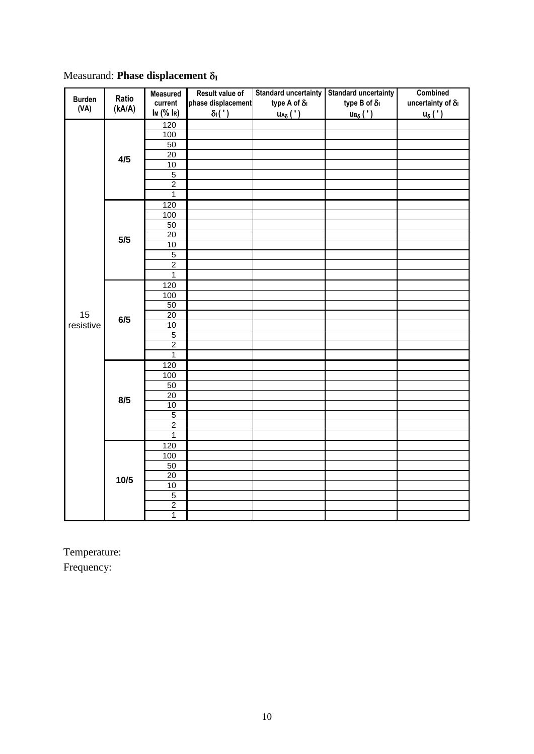|               |                 | <b>Measured</b>       | Result value of    | <b>Standard uncertainty</b>               | <b>Standard uncertainty</b>                          | <b>Combined</b>           |
|---------------|-----------------|-----------------------|--------------------|-------------------------------------------|------------------------------------------------------|---------------------------|
| <b>Burden</b> | Ratio<br>(kA/A) | current               | phase displacement | type A of $\delta_1$                      | type B of $\delta_{\mathsf{I}}$                      | uncertainty of $\delta_I$ |
| (VA)          |                 | I <sub>M</sub> (% IR) | $\delta_1(')$      | $\underline{\mathsf{UA}_{\delta}(\cdot)}$ | $\underline{\mathsf{u}_{\mathsf{B}_{\delta}}}(\tt')$ | $u_{\delta}$ (')          |
|               |                 | 120                   |                    |                                           |                                                      |                           |
|               | 4/5             | 100                   |                    |                                           |                                                      |                           |
|               |                 | 50                    |                    |                                           |                                                      |                           |
|               |                 | 20                    |                    |                                           |                                                      |                           |
|               |                 | 10                    |                    |                                           |                                                      |                           |
|               |                 | 5                     |                    |                                           |                                                      |                           |
|               |                 | $\overline{2}$        |                    |                                           |                                                      |                           |
|               |                 | $\overline{1}$        |                    |                                           |                                                      |                           |
|               |                 | 120                   |                    |                                           |                                                      |                           |
|               |                 | 100                   |                    |                                           |                                                      |                           |
|               |                 | 50                    |                    |                                           |                                                      |                           |
|               | 5/5             | 20                    |                    |                                           |                                                      |                           |
|               |                 | 10                    |                    |                                           |                                                      |                           |
|               |                 | $\overline{5}$        |                    |                                           |                                                      |                           |
|               |                 | $\overline{2}$        |                    |                                           |                                                      |                           |
|               |                 | $\overline{1}$        |                    |                                           |                                                      |                           |
|               |                 | 120                   |                    |                                           |                                                      |                           |
|               | 6/5             | 100                   |                    |                                           |                                                      |                           |
|               |                 | 50                    |                    |                                           |                                                      |                           |
| 15            |                 | 20                    |                    |                                           |                                                      |                           |
| resistive     |                 | 10                    |                    |                                           |                                                      |                           |
|               |                 | $\overline{5}$        |                    |                                           |                                                      |                           |
|               |                 | $\overline{c}$        |                    |                                           |                                                      |                           |
|               |                 | $\mathbf{1}$          |                    |                                           |                                                      |                           |
|               | 8/5             | 120                   |                    |                                           |                                                      |                           |
|               |                 | 100                   |                    |                                           |                                                      |                           |
|               |                 | 50                    |                    |                                           |                                                      |                           |
|               |                 | $\overline{20}$       |                    |                                           |                                                      |                           |
|               |                 | 10                    |                    |                                           |                                                      |                           |
|               |                 | 5                     |                    |                                           |                                                      |                           |
|               |                 | $\overline{2}$        |                    |                                           |                                                      |                           |
|               |                 | $\mathbf{1}$          |                    |                                           |                                                      |                           |
|               |                 | 120                   |                    |                                           |                                                      |                           |
|               |                 | 100                   |                    |                                           |                                                      |                           |
|               | 10/5            | 50                    |                    |                                           |                                                      |                           |
|               |                 | $\overline{20}$       |                    |                                           |                                                      |                           |
|               |                 | 10                    |                    |                                           |                                                      |                           |
|               |                 | $\overline{5}$        |                    |                                           |                                                      |                           |
|               |                 | $\overline{c}$        |                    |                                           |                                                      |                           |
|               |                 | $\overline{1}$        |                    |                                           |                                                      |                           |

Measurand: **Phase displacement**  $\delta_{I}$ 

Temperature: Frequency: